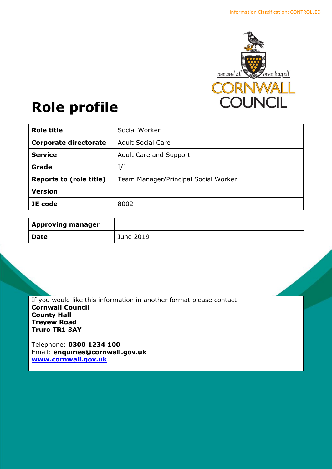

# **Role profile**

| <b>Role title</b>              | Social Worker                        |
|--------------------------------|--------------------------------------|
| <b>Corporate directorate</b>   | <b>Adult Social Care</b>             |
| <b>Service</b>                 | <b>Adult Care and Support</b>        |
| Grade                          | I/J                                  |
| <b>Reports to (role title)</b> | Team Manager/Principal Social Worker |
| <b>Version</b>                 |                                      |
| JE code                        | 8002                                 |

| <b>Approving manager</b> |           |
|--------------------------|-----------|
| <b>Date</b>              | June 2019 |

If you would like this information in another format please contact: **Cornwall Council County Hall Treyew Road Truro TR1 3AY**

Telephone: **0300 1234 100** Email: **[enquiries@cornwall.gov.uk](mailto:enquiries@cornwall.gov.uk) [www.cornwall.gov.uk](http://www.cornwall.gov.uk/)**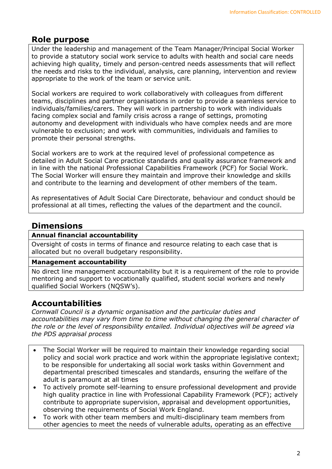# **Role purpose**

Under the leadership and management of the Team Manager/Principal Social Worker to provide a statutory social work service to adults with health and social care needs achieving high quality, timely and person-centred needs assessments that will reflect the needs and risks to the individual, analysis, care planning, intervention and review appropriate to the work of the team or service unit.

Social workers are required to work collaboratively with colleagues from different teams, disciplines and partner organisations in order to provide a seamless service to individuals/families/carers. They will work in partnership to work with individuals facing complex social and family crisis across a range of settings, promoting autonomy and development with individuals who have complex needs and are more vulnerable to exclusion; and work with communities, individuals and families to promote their personal strengths.

Social workers are to work at the required level of professional competence as detailed in Adult Social Care practice standards and quality assurance framework and in line with the national Professional Capabilities Framework (PCF) for Social Work. The Social Worker will ensure they maintain and improve their knowledge and skills and contribute to the learning and development of other members of the team.

As representatives of Adult Social Care Directorate, behaviour and conduct should be professional at all times, reflecting the values of the department and the council.

# **Dimensions**

#### **Annual financial accountability**

Oversight of costs in terms of finance and resource relating to each case that is allocated but no overall budgetary responsibility.

#### **Management accountability**

No direct line management accountability but it is a requirement of the role to provide mentoring and support to vocationally qualified, student social workers and newly qualified Social Workers (NQSW's).

## **Accountabilities**

*Cornwall Council is a dynamic organisation and the particular duties and accountabilities may vary from time to time without changing the general character of the role or the level of responsibility entailed. Individual objectives will be agreed via the PDS appraisal process* 

- The Social Worker will be required to maintain their knowledge regarding social policy and social work practice and work within the appropriate legislative context; to be responsible for undertaking all social work tasks within Government and departmental prescribed timescales and standards, ensuring the welfare of the adult is paramount at all times
- To actively promote self-learning to ensure professional development and provide high quality practice in line with Professional Capability Framework (PCF); actively contribute to appropriate supervision, appraisal and development opportunities, observing the requirements of Social Work England.
- To work with other team members and multi-disciplinary team members from other agencies to meet the needs of vulnerable adults, operating as an effective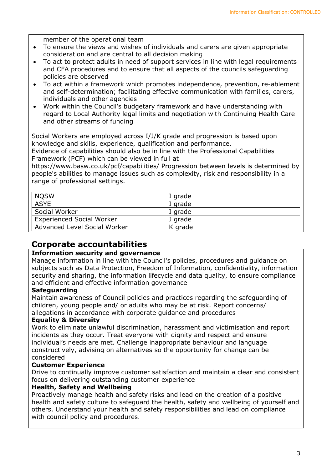member of the operational team

- To ensure the views and wishes of individuals and carers are given appropriate consideration and are central to all decision making
- To act to protect adults in need of support services in line with legal requirements and CFA procedures and to ensure that all aspects of the councils safeguarding policies are observed
- To act within a framework which promotes independence, prevention, re-ablement and self-determination; facilitating effective communication with families, carers, individuals and other agencies
- Work within the Council's budgetary framework and have understanding with regard to Local Authority legal limits and negotiation with Continuing Health Care and other streams of funding

Social Workers are employed across I/J/K grade and progression is based upon knowledge and skills, experience, qualification and performance.

Evidence of capabilities should also be in line with the Professional Capabilities Framework (PCF) which can be viewed in full at

https://www.basw.co.uk/pcf/capabilities/ Progression between levels is determined by people's abilities to manage issues such as complexity, risk and responsibility in a range of professional settings.

| <b>NQSW</b>                      | I grade |
|----------------------------------|---------|
| <b>ASYE</b>                      | I grade |
| Social Worker                    | I grade |
| <b>Experienced Social Worker</b> | J grade |
| Advanced Level Social Worker     | K grade |

# **Corporate accountabilities**

## **Information security and governance**

Manage information in line with the Council's policies, procedures and guidance on subjects such as Data Protection, Freedom of Information, confidentiality, information security and sharing, the information lifecycle and data quality, to ensure compliance and efficient and effective information governance

## **Safeguarding**

Maintain awareness of Council policies and practices regarding the safeguarding of children, young people and/ or adults who may be at risk. Report concerns/ allegations in accordance with corporate guidance and procedures

## **Equality & Diversity**

Work to eliminate unlawful discrimination, harassment and victimisation and report incidents as they occur. Treat everyone with dignity and respect and ensure individual's needs are met. Challenge inappropriate behaviour and language constructively, advising on alternatives so the opportunity for change can be considered

## **Customer Experience**

Drive to continually improve customer satisfaction and maintain a clear and consistent focus on delivering outstanding customer experience

#### **Health, Safety and Wellbeing**

Proactively manage health and safety risks and lead on the creation of a positive health and safety culture to safeguard the health, safety and wellbeing of yourself and others. Understand your health and safety responsibilities and lead on compliance with council policy and procedures.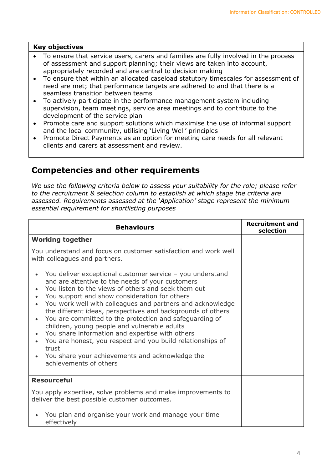#### **Key objectives**

- To ensure that service users, carers and families are fully involved in the process of assessment and support planning; their views are taken into account, appropriately recorded and are central to decision making
- To ensure that within an allocated caseload statutory timescales for assessment of need are met; that performance targets are adhered to and that there is a seamless transition between teams
- To actively participate in the performance management system including supervision, team meetings, service area meetings and to contribute to the development of the service plan
- Promote care and support solutions which maximise the use of informal support and the local community, utilising 'Living Well' principles
- Promote Direct Payments as an option for meeting care needs for all relevant clients and carers at assessment and review.

## **Competencies and other requirements**

*We use the following criteria below to assess your suitability for the role; please refer to the recruitment & selection column to establish at which stage the criteria are assessed. Requirements assessed at the 'Application' stage represent the minimum essential requirement for shortlisting purposes*

| <b>Behaviours</b>                                                                                                                                                                                                                                                                                                                                                                                                                                                                                                                                                                                                                                                                 | <b>Recruitment and</b><br>selection |
|-----------------------------------------------------------------------------------------------------------------------------------------------------------------------------------------------------------------------------------------------------------------------------------------------------------------------------------------------------------------------------------------------------------------------------------------------------------------------------------------------------------------------------------------------------------------------------------------------------------------------------------------------------------------------------------|-------------------------------------|
| <b>Working together</b>                                                                                                                                                                                                                                                                                                                                                                                                                                                                                                                                                                                                                                                           |                                     |
| You understand and focus on customer satisfaction and work well<br>with colleagues and partners.                                                                                                                                                                                                                                                                                                                                                                                                                                                                                                                                                                                  |                                     |
| You deliver exceptional customer service - you understand<br>and are attentive to the needs of your customers<br>You listen to the views of others and seek them out<br>You support and show consideration for others<br>You work well with colleagues and partners and acknowledge<br>the different ideas, perspectives and backgrounds of others<br>You are committed to the protection and safeguarding of<br>children, young people and vulnerable adults<br>You share information and expertise with others<br>You are honest, you respect and you build relationships of<br>$\bullet$<br>trust<br>You share your achievements and acknowledge the<br>achievements of others |                                     |
| <b>Resourceful</b>                                                                                                                                                                                                                                                                                                                                                                                                                                                                                                                                                                                                                                                                |                                     |
| You apply expertise, solve problems and make improvements to<br>deliver the best possible customer outcomes.                                                                                                                                                                                                                                                                                                                                                                                                                                                                                                                                                                      |                                     |
| You plan and organise your work and manage your time<br>effectively                                                                                                                                                                                                                                                                                                                                                                                                                                                                                                                                                                                                               |                                     |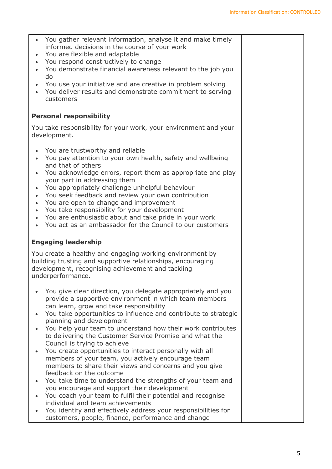| You gather relevant information, analyse it and make timely<br>informed decisions in the course of your work<br>You are flexible and adaptable<br>You respond constructively to change<br>You demonstrate financial awareness relevant to the job you<br>do<br>You use your initiative and are creative in problem solving<br>You deliver results and demonstrate commitment to serving<br>customers                                                                                                                                                                                                                                                                                                                                                                                                                                                                                                                                                                                  |  |
|---------------------------------------------------------------------------------------------------------------------------------------------------------------------------------------------------------------------------------------------------------------------------------------------------------------------------------------------------------------------------------------------------------------------------------------------------------------------------------------------------------------------------------------------------------------------------------------------------------------------------------------------------------------------------------------------------------------------------------------------------------------------------------------------------------------------------------------------------------------------------------------------------------------------------------------------------------------------------------------|--|
| <b>Personal responsibility</b>                                                                                                                                                                                                                                                                                                                                                                                                                                                                                                                                                                                                                                                                                                                                                                                                                                                                                                                                                        |  |
| You take responsibility for your work, your environment and your<br>development.                                                                                                                                                                                                                                                                                                                                                                                                                                                                                                                                                                                                                                                                                                                                                                                                                                                                                                      |  |
| You are trustworthy and reliable<br>You pay attention to your own health, safety and wellbeing<br>and that of others<br>You acknowledge errors, report them as appropriate and play<br>your part in addressing them<br>You appropriately challenge unhelpful behaviour<br>You seek feedback and review your own contribution<br>$\bullet$<br>You are open to change and improvement<br>$\bullet$<br>You take responsibility for your development<br>$\bullet$<br>You are enthusiastic about and take pride in your work<br>You act as an ambassador for the Council to our customers                                                                                                                                                                                                                                                                                                                                                                                                  |  |
| <b>Engaging leadership</b>                                                                                                                                                                                                                                                                                                                                                                                                                                                                                                                                                                                                                                                                                                                                                                                                                                                                                                                                                            |  |
| You create a healthy and engaging working environment by<br>building trusting and supportive relationships, encouraging<br>development, recognising achievement and tackling<br>underperformance.                                                                                                                                                                                                                                                                                                                                                                                                                                                                                                                                                                                                                                                                                                                                                                                     |  |
| You give clear direction, you delegate appropriately and you<br>provide a supportive environment in which team members<br>can learn, grow and take responsibility<br>You take opportunities to influence and contribute to strategic<br>planning and development<br>You help your team to understand how their work contributes<br>to delivering the Customer Service Promise and what the<br>Council is trying to achieve<br>You create opportunities to interact personally with all<br>members of your team, you actively encourage team<br>members to share their views and concerns and you give<br>feedback on the outcome<br>You take time to understand the strengths of your team and<br>$\bullet$<br>you encourage and support their development<br>You coach your team to fulfil their potential and recognise<br>individual and team achievements<br>You identify and effectively address your responsibilities for<br>customers, people, finance, performance and change |  |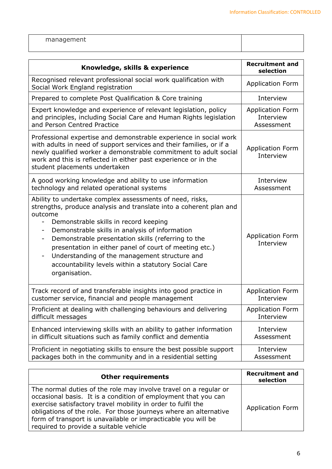| management |  |
|------------|--|
|------------|--|

| Knowledge, skills & experience                                                                                                                                                                                                                                                                                                                                                                                                                                                           | <b>Recruitment and</b><br>selection  |
|------------------------------------------------------------------------------------------------------------------------------------------------------------------------------------------------------------------------------------------------------------------------------------------------------------------------------------------------------------------------------------------------------------------------------------------------------------------------------------------|--------------------------------------|
| Recognised relevant professional social work qualification with<br>Social Work England registration                                                                                                                                                                                                                                                                                                                                                                                      | <b>Application Form</b>              |
| Prepared to complete Post Qualification & Core training                                                                                                                                                                                                                                                                                                                                                                                                                                  | Interview                            |
| Expert knowledge and experience of relevant legislation, policy                                                                                                                                                                                                                                                                                                                                                                                                                          | <b>Application Form</b>              |
| and principles, including Social Care and Human Rights legislation                                                                                                                                                                                                                                                                                                                                                                                                                       | Interview                            |
| and Person Centred Practice                                                                                                                                                                                                                                                                                                                                                                                                                                                              | Assessment                           |
| Professional expertise and demonstrable experience in social work<br>with adults in need of support services and their families, or if a<br>newly qualified worker a demonstrable commitment to adult social<br>work and this is reflected in either past experience or in the<br>student placements undertaken                                                                                                                                                                          | <b>Application Form</b><br>Interview |
| A good working knowledge and ability to use information                                                                                                                                                                                                                                                                                                                                                                                                                                  | Interview                            |
| technology and related operational systems                                                                                                                                                                                                                                                                                                                                                                                                                                               | Assessment                           |
| Ability to undertake complex assessments of need, risks,<br>strengths, produce analysis and translate into a coherent plan and<br>outcome<br>Demonstrable skills in record keeping<br>-<br>Demonstrable skills in analysis of information<br>-<br>Demonstrable presentation skills (referring to the<br>presentation in either panel of court of meeting etc.)<br>Understanding of the management structure and<br>accountability levels within a statutory Social Care<br>organisation. | <b>Application Form</b><br>Interview |
| Track record of and transferable insights into good practice in                                                                                                                                                                                                                                                                                                                                                                                                                          | <b>Application Form</b>              |
| customer service, financial and people management                                                                                                                                                                                                                                                                                                                                                                                                                                        | Interview                            |
| Proficient at dealing with challenging behaviours and delivering                                                                                                                                                                                                                                                                                                                                                                                                                         | <b>Application Form</b>              |
| difficult messages                                                                                                                                                                                                                                                                                                                                                                                                                                                                       | Interview                            |
| Enhanced interviewing skills with an ability to gather information                                                                                                                                                                                                                                                                                                                                                                                                                       | Interview                            |
| in difficult situations such as family conflict and dementia                                                                                                                                                                                                                                                                                                                                                                                                                             | Assessment                           |
| Proficient in negotiating skills to ensure the best possible support                                                                                                                                                                                                                                                                                                                                                                                                                     | Interview                            |
| packages both in the community and in a residential setting                                                                                                                                                                                                                                                                                                                                                                                                                              | Assessment                           |

| <b>Other requirements</b>                                                                                                                                                                                                                                                                                                                                                         | <b>Recruitment and</b><br>selection |
|-----------------------------------------------------------------------------------------------------------------------------------------------------------------------------------------------------------------------------------------------------------------------------------------------------------------------------------------------------------------------------------|-------------------------------------|
| The normal duties of the role may involve travel on a regular or<br>occasional basis. It is a condition of employment that you can<br>exercise satisfactory travel mobility in order to fulfil the<br>obligations of the role. For those journeys where an alternative<br>form of transport is unavailable or impracticable you will be<br>required to provide a suitable vehicle | <b>Application Form</b>             |